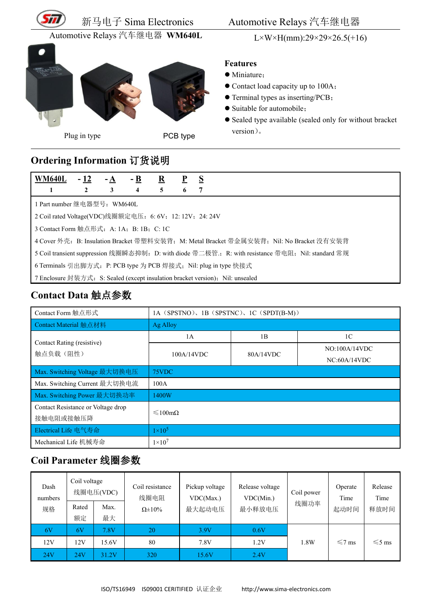

#### 新马电子 Sima Electronics Automotive Relays 汽车继电器

Automotive Relays 汽车继电器 **WM640L** L×W×H(mm):29×29×26.5(+16)



Plug in type **PCB** type

#### **Features**

- $\bullet$  Miniature;
- Contact load capacity up to 100A;
- Terminal types as inserting/PCB;
- Suitable for automobile;
- Sealed type available (sealed only for without bracket version)。

# **Ordering Information** 订货说明

| WM640L                                                                                             | $-12$ |  | $-B$ | $\bf{R}$ |   | <sub>S</sub> |  |
|----------------------------------------------------------------------------------------------------|-------|--|------|----------|---|--------------|--|
|                                                                                                    |       |  | 4    | 5.       | O |              |  |
| 1 Part number 继电器型号: WM640L                                                                        |       |  |      |          |   |              |  |
| 2 Coil rated Voltage(VDC)线圈额定电压: 6: 6V; 12: 12V; 24: 24V                                           |       |  |      |          |   |              |  |
| 3 Contact Form 触点形式: A: 1A; B: 1B; C: 1C                                                           |       |  |      |          |   |              |  |
| 4 Cover 外壳: B: Insulation Bracket 带塑料安装背; M: Metal Bracket 带金属安装背; Nil: No Bracket 没有安装背           |       |  |      |          |   |              |  |
| 5 Coil transient suppression 线圈瞬态抑制: D: with diode 带二极管:, R: with resistance 带电阻; Nil: standard 常规 |       |  |      |          |   |              |  |
| 6 Terminals 引出脚方式: P: PCB type 为 PCB 焊接式; Nil: plug in type 快接式                                    |       |  |      |          |   |              |  |
| 7 Enclosure 封装方式: S: Sealed (except insulation bracket version); Nil: unsealed                     |       |  |      |          |   |              |  |

### **Contact Data** 触点参数

| Contact Form 触点形式                  | 1A (SPSTNO), 1B (SPSTNC), 1C (SPDT(B-M)) |           |                |  |  |  |
|------------------------------------|------------------------------------------|-----------|----------------|--|--|--|
| Contact Material 触点材料              | Ag Alloy                                 |           |                |  |  |  |
| Contact Rating (resistive)         | 1A                                       | 1B        | 1 <sup>C</sup> |  |  |  |
| 触点负载(阻性)                           | 100A/14VDC                               | 80A/14VDC | NO:100A/14VDC  |  |  |  |
|                                    |                                          |           | NC:60A/14VDC   |  |  |  |
| Max. Switching Voltage 最大切换电压      | 75VDC                                    |           |                |  |  |  |
| Max. Switching Current 最大切换电流      | 100A                                     |           |                |  |  |  |
| Max. Switching Power 最大切换功率        | 1400W                                    |           |                |  |  |  |
| Contact Resistance or Voltage drop | $\leq 100 \text{m}\Omega$                |           |                |  |  |  |
| 接触电阻或接触压降                          |                                          |           |                |  |  |  |
| Electrical Life 电气寿命               | $1\times10^5$                            |           |                |  |  |  |
| Mechanical Life 机械寿命               | $1 \times 10^7$                          |           |                |  |  |  |

# **Coil Parameter** 线圈参数

| Dash<br>numbers<br>规格 | Coil voltage<br>Rated<br>额定 | 线圈电压(VDC)<br>Max.<br>最大 | Coil resistance<br>线圈电阻<br>$\Omega \pm 10\%$ | Pickup voltage<br>VDC(Max.)<br>最大起动电压 | Release voltage<br>VDC(Min.)<br>最小释放电压 | Coil power<br>线圈功率 | Operate<br>Time<br>起动时间 | Release<br>Time<br>释放时间 |
|-----------------------|-----------------------------|-------------------------|----------------------------------------------|---------------------------------------|----------------------------------------|--------------------|-------------------------|-------------------------|
| 6V                    | 6V                          | 7.8V                    | 20                                           | 3.9V                                  | 0.6V                                   |                    |                         |                         |
| 12V                   | 12V                         | 15.6V                   | 80                                           | 7.8V                                  | 1.2V                                   | 1.8W               | $\leq 7$ ms             | $\leq 5$ ms             |
| 24V                   | 24V                         | 31.2V                   | 320                                          | 15.6V                                 | 2.4V                                   |                    |                         |                         |